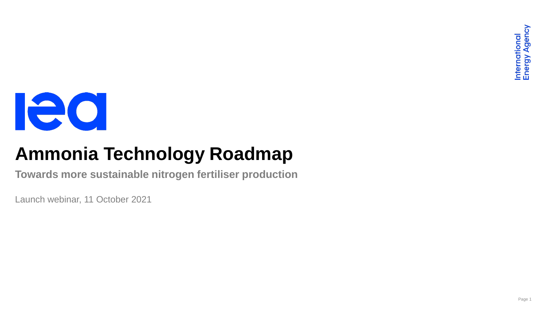

# **Ammonia Technology Roadmap**

**Towards more sustainable nitrogen fertiliser production**

Launch webinar, 11 October 2021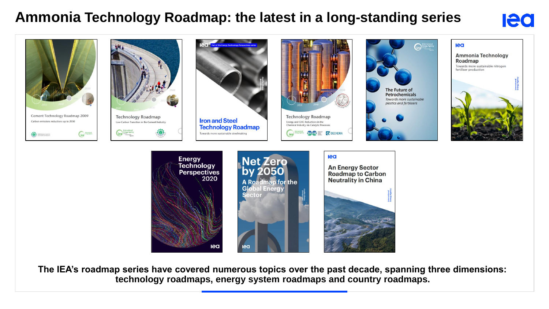#### **Ammonia Technology Roadmap: the latest in a long-standing series**

## **lea**



**The IEA's roadmap series have covered numerous topics over the past decade, spanning three dimensions: technology roadmaps, energy system roadmaps and country roadmaps.**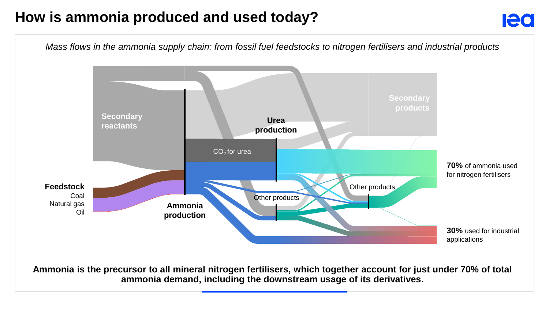### **How is ammonia produced and used today?**





**Ammonia is the precursor to all mineral nitrogen fertilisers, which together account for just under 70% of total ammonia demand, including the downstream usage of its derivatives.**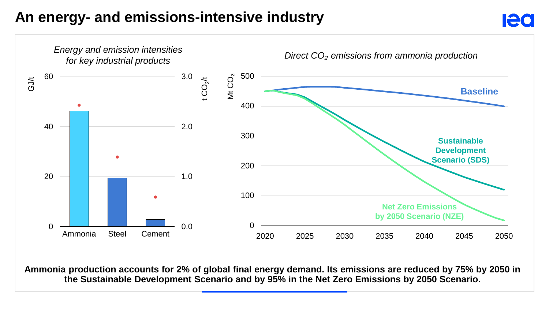#### **An energy- and emissions-intensive industry**



**Ammonia production accounts for 2% of global final energy demand. Its emissions are reduced by 75% by 2050 in the Sustainable Development Scenario and by 95% in the Net Zero Emissions by 2050 Scenario.**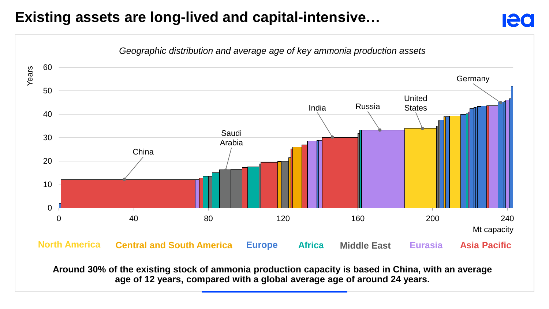### **Existing assets are long-lived and capital-intensive…**



leo

**Around 30% of the existing stock of ammonia production capacity is based in China, with an average age of 12 years, compared with a global average age of around 24 years.**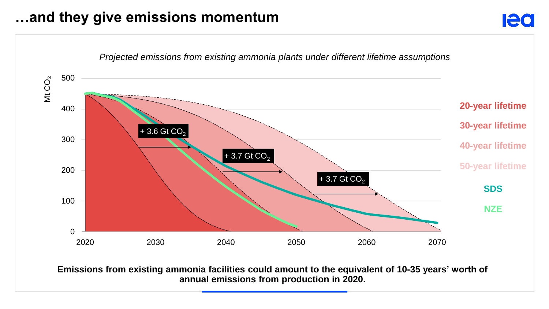#### **…and they give emissions momentum**



**Ied** 

**Emissions from existing ammonia facilities could amount to the equivalent of 10-35 years' worth of annual emissions from production in 2020.**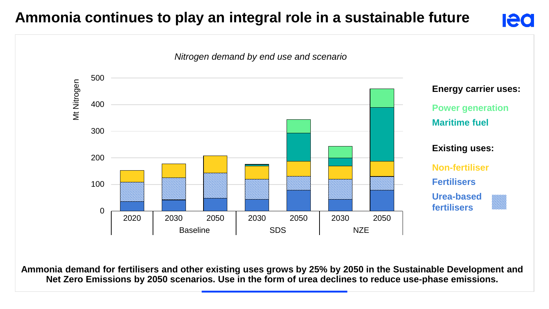#### **Ammonia continues to play an integral role in a sustainable future**





**Ammonia demand for fertilisers and other existing uses grows by 25% by 2050 in the Sustainable Development and Net Zero Emissions by 2050 scenarios. Use in the form of urea declines to reduce use-phase emissions.**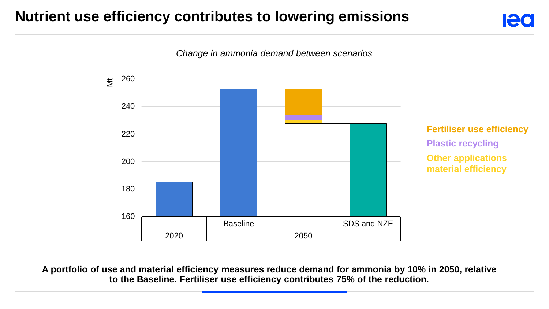#### **Nutrient use efficiency contributes to lowering emissions**



leo

**A portfolio of use and material efficiency measures reduce demand for ammonia by 10% in 2050, relative to the Baseline. Fertiliser use efficiency contributes 75% of the reduction.**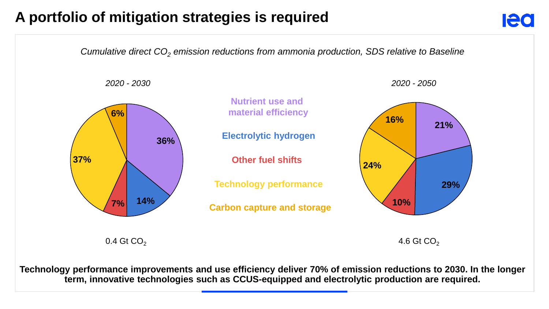#### **A portfolio of mitigation strategies is required**

*Cumulative direct CO<sup>2</sup> emission reductions from ammonia production, SDS relative to Baseline*

*2020 - 2030 2020 - 2050*



**Ieo** 



0.4 Gt CO<sub>2</sub>  $\overline{a}$  4.6 Gt CO<sub>2</sub>

**Technology performance improvements and use efficiency deliver 70% of emission reductions to 2030. In the longer term, innovative technologies such as CCUS-equipped and electrolytic production are required.**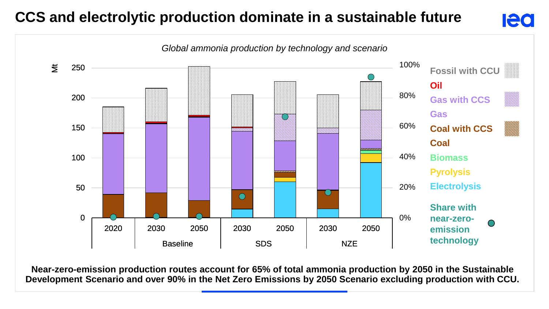## **CCS and electrolytic production dominate in a sustainable future**

#### *Global ammonia production by technology and scenario* 100%  $\sharp$ 250 **Fossil with CCU Oil** 80% 200 **Gas with CCS Gas** 60% 150 **Coal with CCS Coal** 40% 100 **Biomass Pyrolysis** 20% **Electrolysis** 50  $\overline{(\ }$  $\bigcirc$ **Share with**  0% 0 **near-zero-**2020 2030 2050 2030 2050 2030 2050 **emission technology** Baseline I SDS I NZE

**Ieo** 

**Near-zero-emission production routes account for 65% of total ammonia production by 2050 in the Sustainable Development Scenario and over 90% in the Net Zero Emissions by 2050 Scenario excluding production with CCU.**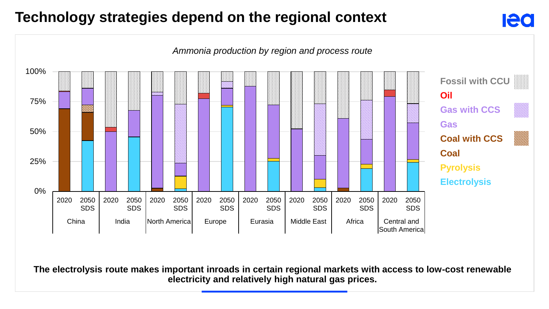### **Technology strategies depend on the regional context**



**Ieo** 

**The electrolysis route makes important inroads in certain regional markets with access to low-cost renewable electricity and relatively high natural gas prices.**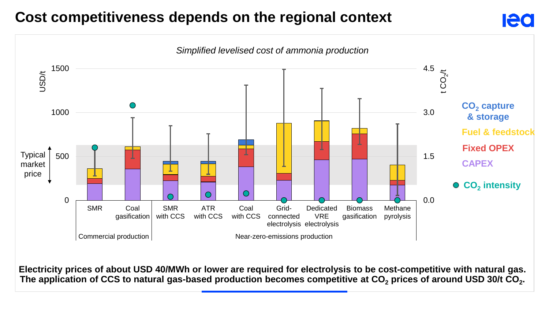#### **Cost competitiveness depends on the regional context**

![](_page_11_Figure_1.jpeg)

![](_page_11_Figure_2.jpeg)

**Electricity prices of about USD 40/MWh or lower are required for electrolysis to be cost-competitive with natural gas. The application of CCS to natural gas-based production becomes competitive at CO<sup>2</sup> prices of around USD 30/t CO<sup>2</sup> .**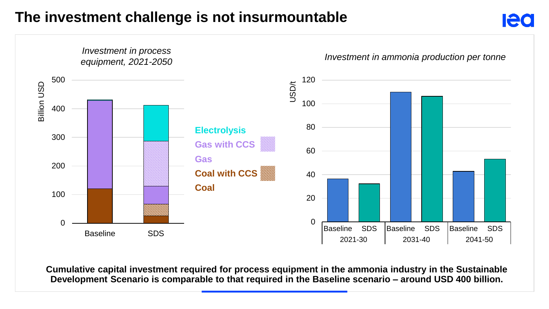#### **The investment challenge is not insurmountable**

![](_page_12_Figure_2.jpeg)

**Cumulative capital investment required for process equipment in the ammonia industry in the Sustainable Development Scenario is comparable to that required in the Baseline scenario – around USD 400 billion.**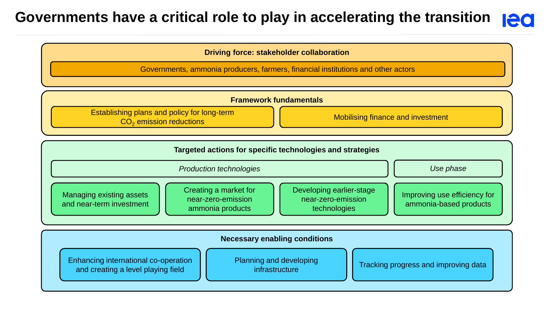#### **Governments have a critical role to play in accelerating the transition Ieo**

![](_page_13_Figure_2.jpeg)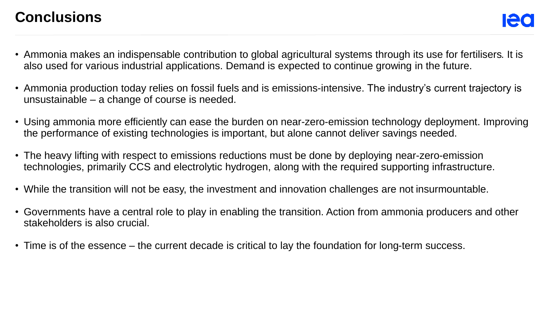#### **Conclusions**

- Ammonia makes an indispensable contribution to global agricultural systems through its use for fertilisers. It is also used for various industrial applications. Demand is expected to continue growing in the future.
- Ammonia production today relies on fossil fuels and is emissions-intensive. The industry's current trajectory is unsustainable – a change of course is needed.
- Using ammonia more efficiently can ease the burden on near-zero-emission technology deployment. Improving the performance of existing technologies is important, but alone cannot deliver savings needed.
- The heavy lifting with respect to emissions reductions must be done by deploying near-zero-emission technologies, primarily CCS and electrolytic hydrogen, along with the required supporting infrastructure.
- While the transition will not be easy, the investment and innovation challenges are not insurmountable.
- Governments have a central role to play in enabling the transition. Action from ammonia producers and other stakeholders is also crucial.
- Time is of the essence the current decade is critical to lay the foundation for long-term success.